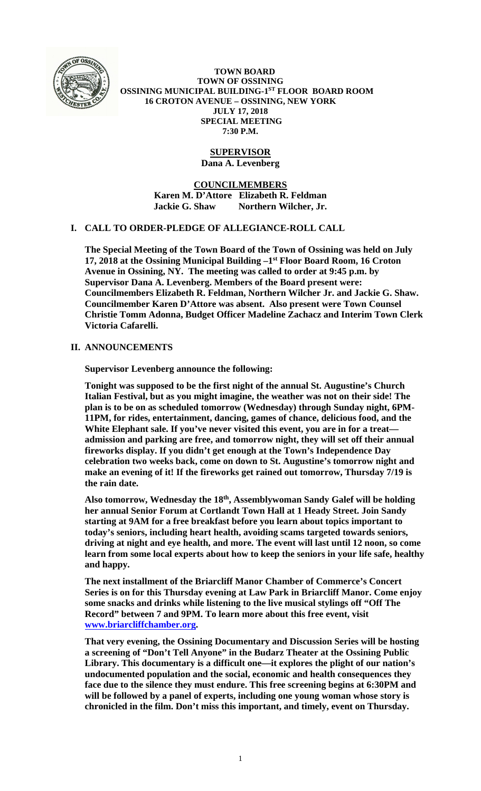

 **TOWN BOARD TOWN OF OSSINING OSSINING MUNICIPAL BUILDING-1ST FLOOR BOARD ROOM 16 CROTON AVENUE – OSSINING, NEW YORK JULY 17, 2018 SPECIAL MEETING 7:30 P.M.** 

# **SUPERVISOR**

**Dana A. Levenberg** 

**COUNCILMEMBERS Karen M. D'Attore Elizabeth R. Feldman Jackie G. Shaw Northern Wilcher, Jr.** 

## **I. CALL TO ORDER-PLEDGE OF ALLEGIANCE-ROLL CALL**

**The Special Meeting of the Town Board of the Town of Ossining was held on July 17, 2018 at the Ossining Municipal Building –1st Floor Board Room, 16 Croton Avenue in Ossining, NY. The meeting was called to order at 9:45 p.m. by Supervisor Dana A. Levenberg. Members of the Board present were: Councilmembers Elizabeth R. Feldman, Northern Wilcher Jr. and Jackie G. Shaw. Councilmember Karen D'Attore was absent. Also present were Town Counsel Christie Tomm Adonna, Budget Officer Madeline Zachacz and Interim Town Clerk Victoria Cafarelli.** 

## **II. ANNOUNCEMENTS**

**Supervisor Levenberg announce the following:** 

**Tonight was supposed to be the first night of the annual St. Augustine's Church Italian Festival, but as you might imagine, the weather was not on their side! The plan is to be on as scheduled tomorrow (Wednesday) through Sunday night, 6PM-11PM, for rides, entertainment, dancing, games of chance, delicious food, and the White Elephant sale. If you've never visited this event, you are in for a treat admission and parking are free, and tomorrow night, they will set off their annual fireworks display. If you didn't get enough at the Town's Independence Day celebration two weeks back, come on down to St. Augustine's tomorrow night and make an evening of it! If the fireworks get rained out tomorrow, Thursday 7/19 is the rain date.** 

**Also tomorrow, Wednesday the 18th, Assemblywoman Sandy Galef will be holding her annual Senior Forum at Cortlandt Town Hall at 1 Heady Street. Join Sandy starting at 9AM for a free breakfast before you learn about topics important to today's seniors, including heart health, avoiding scams targeted towards seniors, driving at night and eye health, and more. The event will last until 12 noon, so come learn from some local experts about how to keep the seniors in your life safe, healthy and happy.** 

**The next installment of the Briarcliff Manor Chamber of Commerce's Concert Series is on for this Thursday evening at Law Park in Briarcliff Manor. Come enjoy some snacks and drinks while listening to the live musical stylings off "Off The Record" between 7 and 9PM. To learn more about this free event, visit www.briarcliffchamber.org.** 

**That very evening, the Ossining Documentary and Discussion Series will be hosting a screening of "Don't Tell Anyone" in the Budarz Theater at the Ossining Public Library. This documentary is a difficult one—it explores the plight of our nation's undocumented population and the social, economic and health consequences they face due to the silence they must endure. This free screening begins at 6:30PM and will be followed by a panel of experts, including one young woman whose story is chronicled in the film. Don't miss this important, and timely, event on Thursday.**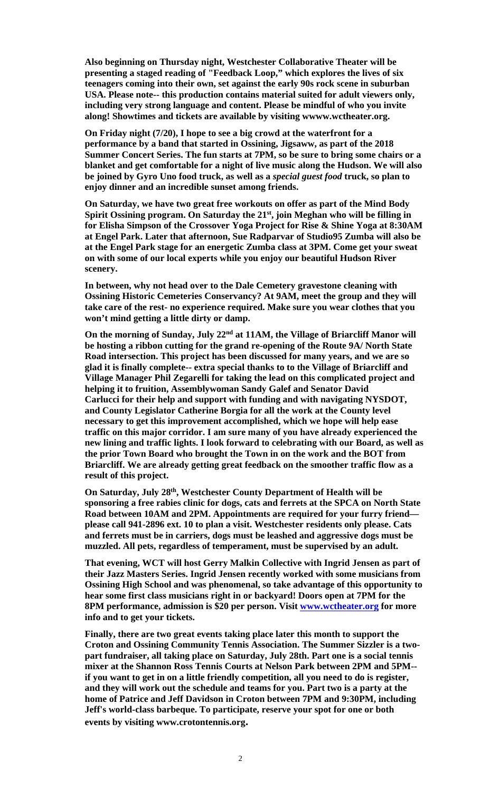**Also beginning on Thursday night, Westchester Collaborative Theater will be presenting a staged reading of "Feedback Loop," which explores the lives of six teenagers coming into their own, set against the early 90s rock scene in suburban USA. Please note-- this production contains material suited for adult viewers only, including very strong language and content. Please be mindful of who you invite along! Showtimes and tickets are available by visiting wwww.wctheater.org.** 

**On Friday night (7/20), I hope to see a big crowd at the waterfront for a performance by a band that started in Ossining, Jigsaww, as part of the 2018 Summer Concert Series. The fun starts at 7PM, so be sure to bring some chairs or a blanket and get comfortable for a night of live music along the Hudson. We will also be joined by Gyro Uno food truck, as well as a** *special guest food* **truck, so plan to enjoy dinner and an incredible sunset among friends.** 

**On Saturday, we have two great free workouts on offer as part of the Mind Body**  Spirit Ossining program. On Saturday the 21<sup>st</sup>, join Meghan who will be filling in **for Elisha Simpson of the Crossover Yoga Project for Rise & Shine Yoga at 8:30AM at Engel Park. Later that afternoon, Sue Radparvar of Studio95 Zumba will also be at the Engel Park stage for an energetic Zumba class at 3PM. Come get your sweat on with some of our local experts while you enjoy our beautiful Hudson River scenery.** 

**In between, why not head over to the Dale Cemetery gravestone cleaning with Ossining Historic Cemeteries Conservancy? At 9AM, meet the group and they will take care of the rest- no experience required. Make sure you wear clothes that you won't mind getting a little dirty or damp.** 

**On the morning of Sunday, July 22nd at 11AM, the Village of Briarcliff Manor will be hosting a ribbon cutting for the grand re-opening of the Route 9A/ North State Road intersection. This project has been discussed for many years, and we are so glad it is finally complete-- extra special thanks to to the Village of Briarcliff and Village Manager Phil Zegarelli for taking the lead on this complicated project and helping it to fruition, Assemblywoman Sandy Galef and Senator David Carlucci for their help and support with funding and with navigating NYSDOT, and County Legislator Catherine Borgia for all the work at the County level necessary to get this improvement accomplished, which we hope will help ease traffic on this major corridor. I am sure many of you have already experienced the new lining and traffic lights. I look forward to celebrating with our Board, as well as the prior Town Board who brought the Town in on the work and the BOT from Briarcliff. We are already getting great feedback on the smoother traffic flow as a result of this project.** 

**On Saturday, July 28th, Westchester County Department of Health will be sponsoring a free rabies clinic for dogs, cats and ferrets at the SPCA on North State Road between 10AM and 2PM. Appointments are required for your furry friend please call 941-2896 ext. 10 to plan a visit. Westchester residents only please. Cats and ferrets must be in carriers, dogs must be leashed and aggressive dogs must be muzzled. All pets, regardless of temperament, must be supervised by an adult.** 

**That evening, WCT will host Gerry Malkin Collective with Ingrid Jensen as part of their Jazz Masters Series. Ingrid Jensen recently worked with some musicians from Ossining High School and was phenomenal, so take advantage of this opportunity to hear some first class musicians right in or backyard! Doors open at 7PM for the 8PM performance, admission is \$20 per person. Visit www.wctheater.org for more info and to get your tickets.** 

**Finally, there are two great events taking place later this month to support the Croton and Ossining Community Tennis Association. The Summer Sizzler is a twopart fundraiser, all taking place on Saturday, July 28th. Part one is a social tennis mixer at the Shannon Ross Tennis Courts at Nelson Park between 2PM and 5PM- if you want to get in on a little friendly competition, all you need to do is register, and they will work out the schedule and teams for you. Part two is a party at the home of Patrice and Jeff Davidson in Croton between 7PM and 9:30PM, including Jeff's world-class barbeque. To participate, reserve your spot for one or both events by visiting www.crotontennis.org.**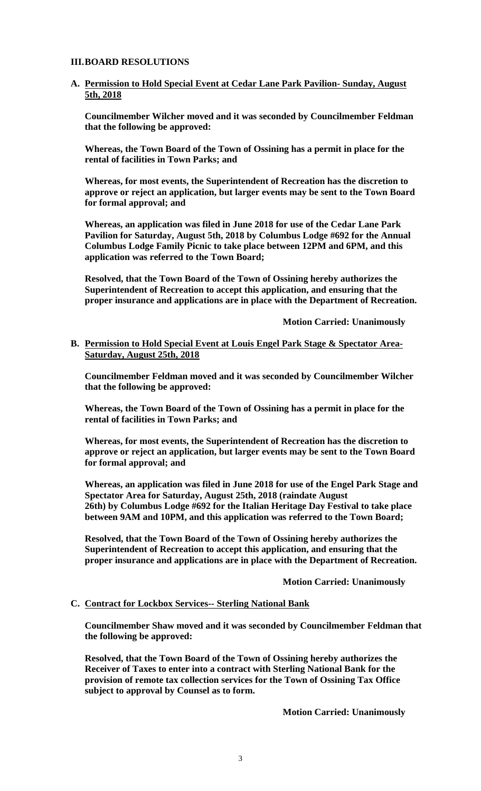### **III.BOARD RESOLUTIONS**

### **A. Permission to Hold Special Event at Cedar Lane Park Pavilion- Sunday, August 5th, 2018**

**Councilmember Wilcher moved and it was seconded by Councilmember Feldman that the following be approved:** 

**Whereas, the Town Board of the Town of Ossining has a permit in place for the rental of facilities in Town Parks; and**

**Whereas, for most events, the Superintendent of Recreation has the discretion to approve or reject an application, but larger events may be sent to the Town Board for formal approval; and**

**Whereas, an application was filed in June 2018 for use of the Cedar Lane Park Pavilion for Saturday, August 5th, 2018 by Columbus Lodge #692 for the Annual Columbus Lodge Family Picnic to take place between 12PM and 6PM, and this application was referred to the Town Board;**

**Resolved, that the Town Board of the Town of Ossining hereby authorizes the Superintendent of Recreation to accept this application, and ensuring that the proper insurance and applications are in place with the Department of Recreation.** 

 **Motion Carried: Unanimously** 

**B. Permission to Hold Special Event at Louis Engel Park Stage & Spectator Area-Saturday, August 25th, 2018**

**Councilmember Feldman moved and it was seconded by Councilmember Wilcher that the following be approved:** 

**Whereas, the Town Board of the Town of Ossining has a permit in place for the rental of facilities in Town Parks; and**

**Whereas, for most events, the Superintendent of Recreation has the discretion to approve or reject an application, but larger events may be sent to the Town Board for formal approval; and**

**Whereas, an application was filed in June 2018 for use of the Engel Park Stage and Spectator Area for Saturday, August 25th, 2018 (raindate August 26th) by Columbus Lodge #692 for the Italian Heritage Day Festival to take place between 9AM and 10PM, and this application was referred to the Town Board;**

**Resolved, that the Town Board of the Town of Ossining hereby authorizes the Superintendent of Recreation to accept this application, and ensuring that the proper insurance and applications are in place with the Department of Recreation.**

**Motion Carried: Unanimously** 

#### **C. Contract for Lockbox Services-- Sterling National Bank**

**Councilmember Shaw moved and it was seconded by Councilmember Feldman that the following be approved:** 

**Resolved, that the Town Board of the Town of Ossining hereby authorizes the Receiver of Taxes to enter into a contract with Sterling National Bank for the provision of remote tax collection services for the Town of Ossining Tax Office subject to approval by Counsel as to form.** 

 **Motion Carried: Unanimously**